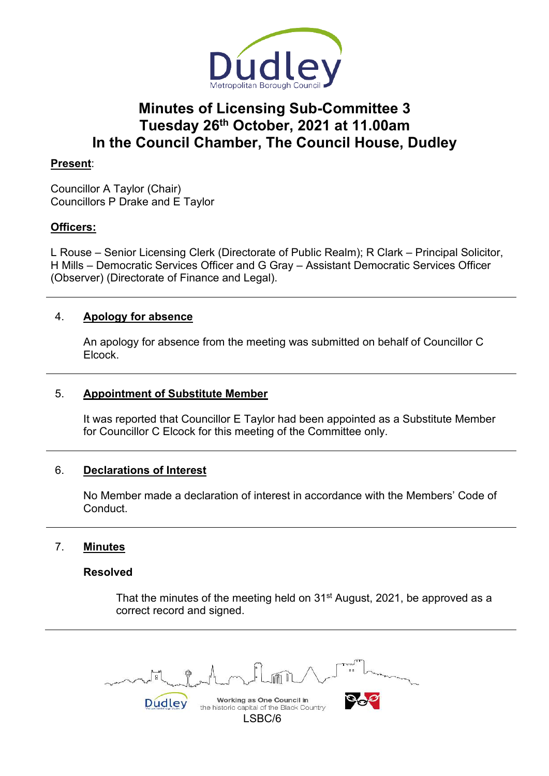

# **Minutes of Licensing Sub-Committee 3 Tuesday 26th October, 2021 at 11.00am In the Council Chamber, The Council House, Dudley**

## **Present**:

Councillor A Taylor (Chair) Councillors P Drake and E Taylor

## **Officers:**

L Rouse – Senior Licensing Clerk (Directorate of Public Realm); R Clark – Principal Solicitor, H Mills – Democratic Services Officer and G Gray – Assistant Democratic Services Officer (Observer) (Directorate of Finance and Legal).

## 4. **Apology for absence**

 An apology for absence from the meeting was submitted on behalf of Councillor C Elcock.

## 5. **Appointment of Substitute Member**

 It was reported that Councillor E Taylor had been appointed as a Substitute Member for Councillor C Elcock for this meeting of the Committee only.

## 6. **Declarations of Interest**

 No Member made a declaration of interest in accordance with the Members' Code of Conduct.

# 7. **Minutes**

## **Resolved**

That the minutes of the meeting held on 31<sup>st</sup> August, 2021, be approved as a correct record and signed.

Working as One Council in Dudley the historic capital of the Black Country LSBC/6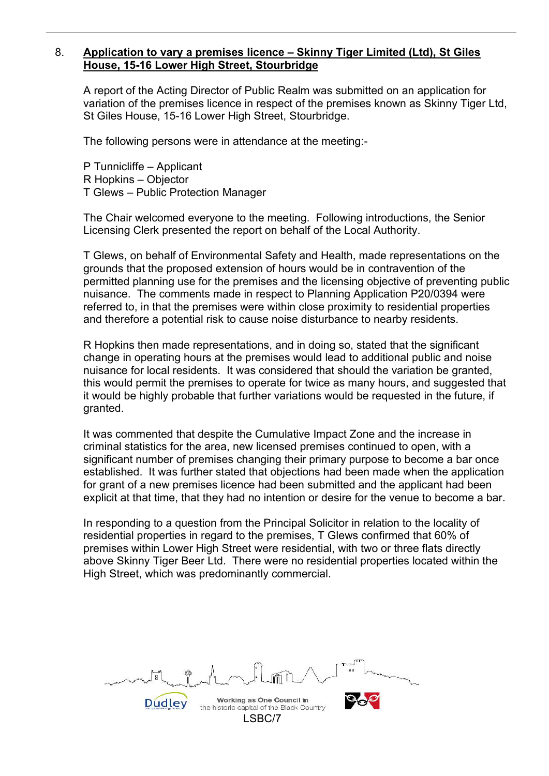#### 8. **Application to vary a premises licence – Skinny Tiger Limited (Ltd), St Giles House, 15-16 Lower High Street, Stourbridge**

 A report of the Acting Director of Public Realm was submitted on an application for variation of the premises licence in respect of the premises known as Skinny Tiger Ltd, St Giles House, 15-16 Lower High Street, Stourbridge.

The following persons were in attendance at the meeting:-

 P Tunnicliffe – Applicant R Hopkins – Objector T Glews – Public Protection Manager

 The Chair welcomed everyone to the meeting. Following introductions, the Senior Licensing Clerk presented the report on behalf of the Local Authority.

 T Glews, on behalf of Environmental Safety and Health, made representations on the grounds that the proposed extension of hours would be in contravention of the permitted planning use for the premises and the licensing objective of preventing public nuisance. The comments made in respect to Planning Application P20/0394 were referred to, in that the premises were within close proximity to residential properties and therefore a potential risk to cause noise disturbance to nearby residents.

 R Hopkins then made representations, and in doing so, stated that the significant change in operating hours at the premises would lead to additional public and noise nuisance for local residents. It was considered that should the variation be granted, this would permit the premises to operate for twice as many hours, and suggested that it would be highly probable that further variations would be requested in the future, if granted.

 It was commented that despite the Cumulative Impact Zone and the increase in criminal statistics for the area, new licensed premises continued to open, with a significant number of premises changing their primary purpose to become a bar once established. It was further stated that objections had been made when the application for grant of a new premises licence had been submitted and the applicant had been explicit at that time, that they had no intention or desire for the venue to become a bar.

 In responding to a question from the Principal Solicitor in relation to the locality of residential properties in regard to the premises, T Glews confirmed that 60% of premises within Lower High Street were residential, with two or three flats directly above Skinny Tiger Beer Ltd. There were no residential properties located within the High Street, which was predominantly commercial.

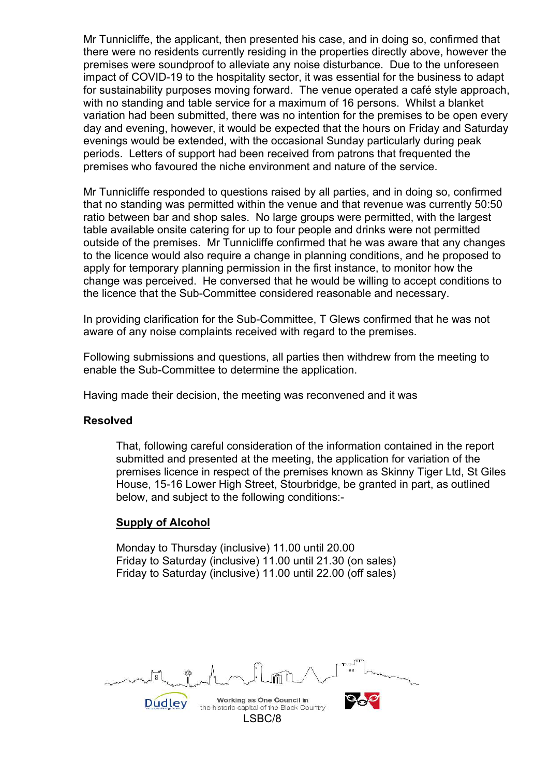Mr Tunnicliffe, the applicant, then presented his case, and in doing so, confirmed that there were no residents currently residing in the properties directly above, however the premises were soundproof to alleviate any noise disturbance. Due to the unforeseen impact of COVID-19 to the hospitality sector, it was essential for the business to adapt for sustainability purposes moving forward. The venue operated a café style approach, with no standing and table service for a maximum of 16 persons. Whilst a blanket variation had been submitted, there was no intention for the premises to be open every day and evening, however, it would be expected that the hours on Friday and Saturday evenings would be extended, with the occasional Sunday particularly during peak periods. Letters of support had been received from patrons that frequented the premises who favoured the niche environment and nature of the service.

 Mr Tunnicliffe responded to questions raised by all parties, and in doing so, confirmed that no standing was permitted within the venue and that revenue was currently 50:50 ratio between bar and shop sales. No large groups were permitted, with the largest table available onsite catering for up to four people and drinks were not permitted outside of the premises. Mr Tunnicliffe confirmed that he was aware that any changes to the licence would also require a change in planning conditions, and he proposed to apply for temporary planning permission in the first instance, to monitor how the change was perceived. He conversed that he would be willing to accept conditions to the licence that the Sub-Committee considered reasonable and necessary.

 In providing clarification for the Sub-Committee, T Glews confirmed that he was not aware of any noise complaints received with regard to the premises.

 Following submissions and questions, all parties then withdrew from the meeting to enable the Sub-Committee to determine the application.

Having made their decision, the meeting was reconvened and it was

#### **Resolved**

 That, following careful consideration of the information contained in the report submitted and presented at the meeting, the application for variation of the premises licence in respect of the premises known as Skinny Tiger Ltd, St Giles House, 15-16 Lower High Street, Stourbridge, be granted in part, as outlined below, and subject to the following conditions:-

#### **Supply of Alcohol**

Monday to Thursday (inclusive) 11.00 until 20.00 Friday to Saturday (inclusive) 11.00 until 21.30 (on sales) Friday to Saturday (inclusive) 11.00 until 22.00 (off sales)